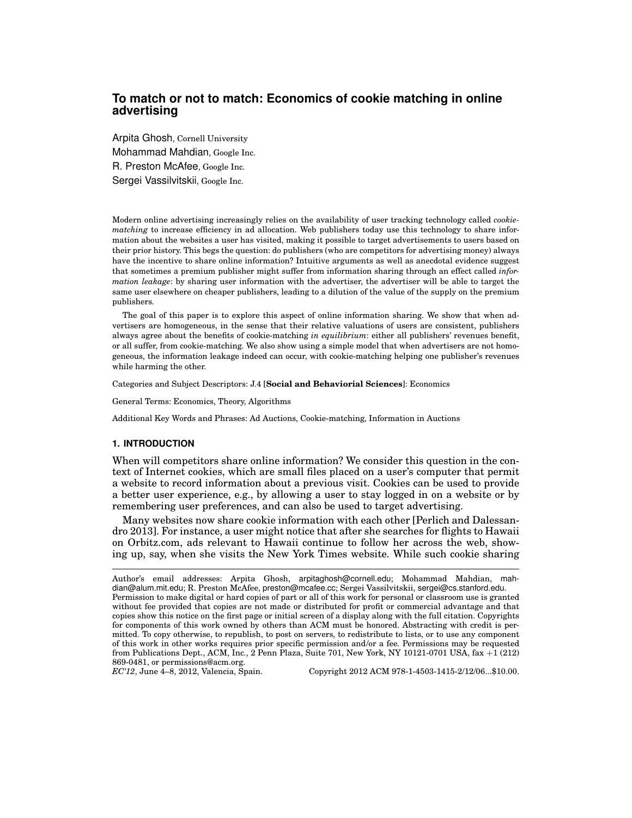# **To match or not to match: Economics of cookie matching in online advertising**

Arpita Ghosh, Cornell University Mohammad Mahdian, Google Inc. R. Preston McAfee, Google Inc. Sergei Vassilvitskii, Google Inc.

Modern online advertising increasingly relies on the availability of user tracking technology called *cookiematching* to increase efficiency in ad allocation. Web publishers today use this technology to share information about the websites a user has visited, making it possible to target advertisements to users based on their prior history. This begs the question: do publishers (who are competitors for advertising money) always have the incentive to share online information? Intuitive arguments as well as anecdotal evidence suggest that sometimes a premium publisher might suffer from information sharing through an effect called *information leakage*: by sharing user information with the advertiser, the advertiser will be able to target the same user elsewhere on cheaper publishers, leading to a dilution of the value of the supply on the premium publishers.

The goal of this paper is to explore this aspect of online information sharing. We show that when advertisers are homogeneous, in the sense that their relative valuations of users are consistent, publishers always agree about the benefits of cookie-matching *in equilibrium*: either all publishers' revenues benefit, or all suffer, from cookie-matching. We also show using a simple model that when advertisers are not homogeneous, the information leakage indeed can occur, with cookie-matching helping one publisher's revenues while harming the other.

Categories and Subject Descriptors: J.4 [**Social and Behaviorial Sciences**]: Economics

General Terms: Economics, Theory, Algorithms

Additional Key Words and Phrases: Ad Auctions, Cookie-matching, Information in Auctions

## **1. INTRODUCTION**

When will competitors share online information? We consider this question in the context of Internet cookies, which are small files placed on a user's computer that permit a website to record information about a previous visit. Cookies can be used to provide a better user experience, e.g., by allowing a user to stay logged in on a website or by remembering user preferences, and can also be used to target advertising.

Many websites now share cookie information with each other [Perlich and Dalessandro 2013]. For instance, a user might notice that after she searches for flights to Hawaii on Orbitz.com, ads relevant to Hawaii continue to follow her across the web, showing up, say, when she visits the New York Times website. While such cookie sharing

Author's email addresses: Arpita Ghosh, arpitaghosh@cornell.edu; Mohammad Mahdian, mahdian@alum.mit.edu; R. Preston McAfee, preston@mcafee.cc; Sergei Vassilvitskii, sergei@cs.stanford.edu. Permission to make digital or hard copies of part or all of this work for personal or classroom use is granted without fee provided that copies are not made or distributed for profit or commercial advantage and that copies show this notice on the first page or initial screen of a display along with the full citation. Copyrights for components of this work owned by others than ACM must be honored. Abstracting with credit is permitted. To copy otherwise, to republish, to post on servers, to redistribute to lists, or to use any component of this work in other works requires prior specific permission and/or a fee. Permissions may be requested from Publications Dept., ACM, Inc., 2 Penn Plaza, Suite 701, New York, NY 10121-0701 USA, fax +1 (212) 869-0481, or permissions@acm.org.<br>EC'12, June 4-8, 2012, Valencia, Spain.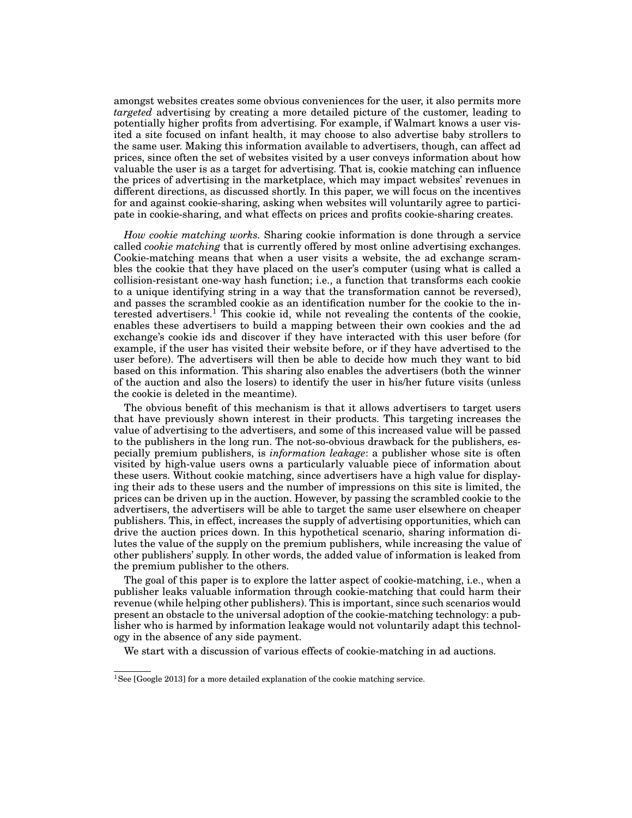amongst websites creates some obvious conveniences for the user, it also permits more *targeted* advertising by creating a more detailed picture of the customer, leading to potentially higher profits from advertising. For example, if Walmart knows a user visited a site focused on infant health, it may choose to also advertise baby strollers to the same user. Making this information available to advertisers, though, can affect ad prices, since often the set of websites visited by a user conveys information about how valuable the user is as a target for advertising. That is, cookie matching can influence the prices of advertising in the marketplace, which may impact websites' revenues in different directions, as discussed shortly. In this paper, we will focus on the incentives for and against cookie-sharing, asking when websites will voluntarily agree to participate in cookie-sharing, and what effects on prices and profits cookie-sharing creates.

*How cookie matching works.* Sharing cookie information is done through a service called *cookie matching* that is currently offered by most online advertising exchanges. Cookie-matching means that when a user visits a website, the ad exchange scrambles the cookie that they have placed on the user's computer (using what is called a collision-resistant one-way hash function; i.e., a function that transforms each cookie to a unique identifying string in a way that the transformation cannot be reversed), and passes the scrambled cookie as an identification number for the cookie to the interested advertisers.<sup>1</sup> This cookie id, while not revealing the contents of the cookie, enables these advertisers to build a mapping between their own cookies and the ad exchange's cookie ids and discover if they have interacted with this user before (for example, if the user has visited their website before, or if they have advertised to the user before). The advertisers will then be able to decide how much they want to bid based on this information. This sharing also enables the advertisers (both the winner of the auction and also the losers) to identify the user in his/her future visits (unless the cookie is deleted in the meantime).

The obvious benefit of this mechanism is that it allows advertisers to target users that have previously shown interest in their products. This targeting increases the value of advertising to the advertisers, and some of this increased value will be passed to the publishers in the long run. The not-so-obvious drawback for the publishers, especially premium publishers, is *information leakage*: a publisher whose site is often visited by high-value users owns a particularly valuable piece of information about these users. Without cookie matching, since advertisers have a high value for displaying their ads to these users and the number of impressions on this site is limited, the prices can be driven up in the auction. However, by passing the scrambled cookie to the advertisers, the advertisers will be able to target the same user elsewhere on cheaper publishers. This, in effect, increases the supply of advertising opportunities, which can drive the auction prices down. In this hypothetical scenario, sharing information dilutes the value of the supply on the premium publishers, while increasing the value of other publishers' supply. In other words, the added value of information is leaked from the premium publisher to the others.

The goal of this paper is to explore the latter aspect of cookie-matching, i.e., when a publisher leaks valuable information through cookie-matching that could harm their revenue (while helping other publishers). This is important, since such scenarios would present an obstacle to the universal adoption of the cookie-matching technology: a publisher who is harmed by information leakage would not voluntarily adapt this technology in the absence of any side payment.

We start with a discussion of various effects of cookie-matching in ad auctions.

<sup>&</sup>lt;sup>1</sup>See [Google 2013] for a more detailed explanation of the cookie matching service.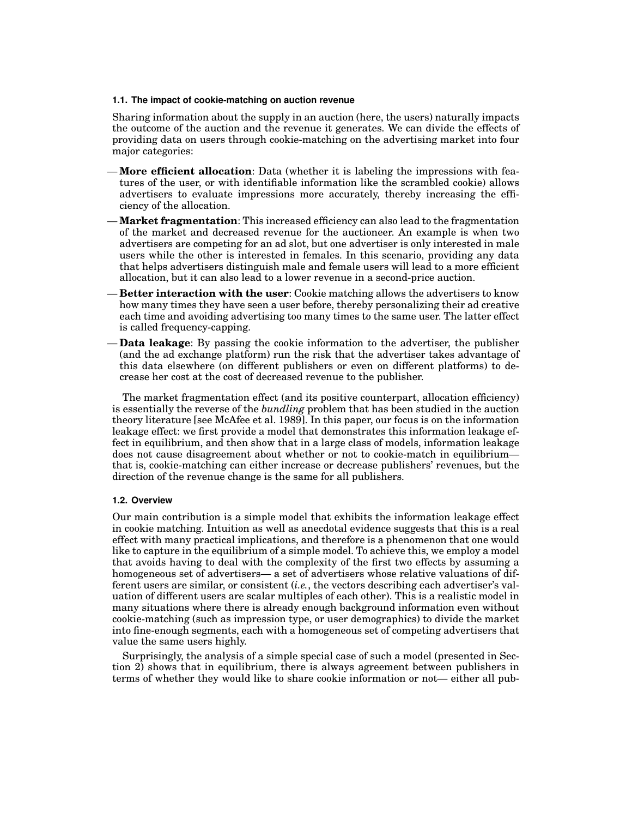## **1.1. The impact of cookie-matching on auction revenue**

Sharing information about the supply in an auction (here, the users) naturally impacts the outcome of the auction and the revenue it generates. We can divide the effects of providing data on users through cookie-matching on the advertising market into four major categories:

- **More efficient allocation**: Data (whether it is labeling the impressions with features of the user, or with identifiable information like the scrambled cookie) allows advertisers to evaluate impressions more accurately, thereby increasing the efficiency of the allocation.
- **Market fragmentation**: This increased efficiency can also lead to the fragmentation of the market and decreased revenue for the auctioneer. An example is when two advertisers are competing for an ad slot, but one advertiser is only interested in male users while the other is interested in females. In this scenario, providing any data that helps advertisers distinguish male and female users will lead to a more efficient allocation, but it can also lead to a lower revenue in a second-price auction.
- **Better interaction with the user**: Cookie matching allows the advertisers to know how many times they have seen a user before, thereby personalizing their ad creative each time and avoiding advertising too many times to the same user. The latter effect is called frequency-capping.
- **Data leakage**: By passing the cookie information to the advertiser, the publisher (and the ad exchange platform) run the risk that the advertiser takes advantage of this data elsewhere (on different publishers or even on different platforms) to decrease her cost at the cost of decreased revenue to the publisher.

The market fragmentation effect (and its positive counterpart, allocation efficiency) is essentially the reverse of the *bundling* problem that has been studied in the auction theory literature [see McAfee et al. 1989]. In this paper, our focus is on the information leakage effect: we first provide a model that demonstrates this information leakage effect in equilibrium, and then show that in a large class of models, information leakage does not cause disagreement about whether or not to cookie-match in equilibrium that is, cookie-matching can either increase or decrease publishers' revenues, but the direction of the revenue change is the same for all publishers.

#### **1.2. Overview**

Our main contribution is a simple model that exhibits the information leakage effect in cookie matching. Intuition as well as anecdotal evidence suggests that this is a real effect with many practical implications, and therefore is a phenomenon that one would like to capture in the equilibrium of a simple model. To achieve this, we employ a model that avoids having to deal with the complexity of the first two effects by assuming a homogeneous set of advertisers— a set of advertisers whose relative valuations of different users are similar, or consistent (*i.e.*, the vectors describing each advertiser's valuation of different users are scalar multiples of each other). This is a realistic model in many situations where there is already enough background information even without cookie-matching (such as impression type, or user demographics) to divide the market into fine-enough segments, each with a homogeneous set of competing advertisers that value the same users highly.

Surprisingly, the analysis of a simple special case of such a model (presented in Section 2) shows that in equilibrium, there is always agreement between publishers in terms of whether they would like to share cookie information or not— either all pub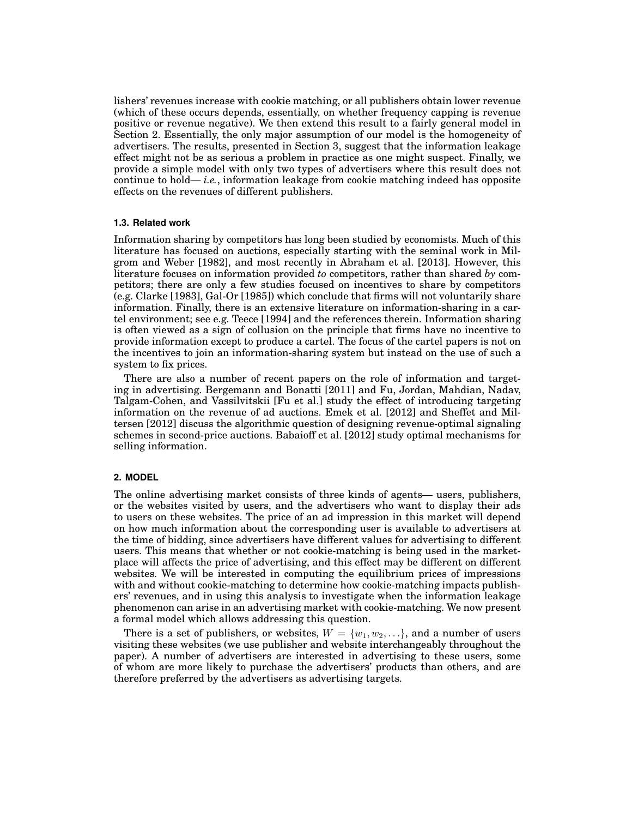lishers' revenues increase with cookie matching, or all publishers obtain lower revenue (which of these occurs depends, essentially, on whether frequency capping is revenue positive or revenue negative). We then extend this result to a fairly general model in Section 2. Essentially, the only major assumption of our model is the homogeneity of advertisers. The results, presented in Section 3, suggest that the information leakage effect might not be as serious a problem in practice as one might suspect. Finally, we provide a simple model with only two types of advertisers where this result does not continue to hold— *i.e.*, information leakage from cookie matching indeed has opposite effects on the revenues of different publishers.

## **1.3. Related work**

Information sharing by competitors has long been studied by economists. Much of this literature has focused on auctions, especially starting with the seminal work in Milgrom and Weber [1982], and most recently in Abraham et al. [2013]. However, this literature focuses on information provided *to* competitors, rather than shared *by* competitors; there are only a few studies focused on incentives to share by competitors (e.g. Clarke [1983], Gal-Or [1985]) which conclude that firms will not voluntarily share information. Finally, there is an extensive literature on information-sharing in a cartel environment; see e.g. Teece [1994] and the references therein. Information sharing is often viewed as a sign of collusion on the principle that firms have no incentive to provide information except to produce a cartel. The focus of the cartel papers is not on the incentives to join an information-sharing system but instead on the use of such a system to fix prices.

There are also a number of recent papers on the role of information and targeting in advertising. Bergemann and Bonatti [2011] and Fu, Jordan, Mahdian, Nadav, Talgam-Cohen, and Vassilvitskii [Fu et al.] study the effect of introducing targeting information on the revenue of ad auctions. Emek et al. [2012] and Sheffet and Miltersen [2012] discuss the algorithmic question of designing revenue-optimal signaling schemes in second-price auctions. Babaioff et al. [2012] study optimal mechanisms for selling information.

## **2. MODEL**

The online advertising market consists of three kinds of agents— users, publishers, or the websites visited by users, and the advertisers who want to display their ads to users on these websites. The price of an ad impression in this market will depend on how much information about the corresponding user is available to advertisers at the time of bidding, since advertisers have different values for advertising to different users. This means that whether or not cookie-matching is being used in the marketplace will affects the price of advertising, and this effect may be different on different websites. We will be interested in computing the equilibrium prices of impressions with and without cookie-matching to determine how cookie-matching impacts publishers' revenues, and in using this analysis to investigate when the information leakage phenomenon can arise in an advertising market with cookie-matching. We now present a formal model which allows addressing this question.

There is a set of publishers, or websites,  $W = \{w_1, w_2, \ldots\}$ , and a number of users visiting these websites (we use publisher and website interchangeably throughout the paper). A number of advertisers are interested in advertising to these users, some of whom are more likely to purchase the advertisers' products than others, and are therefore preferred by the advertisers as advertising targets.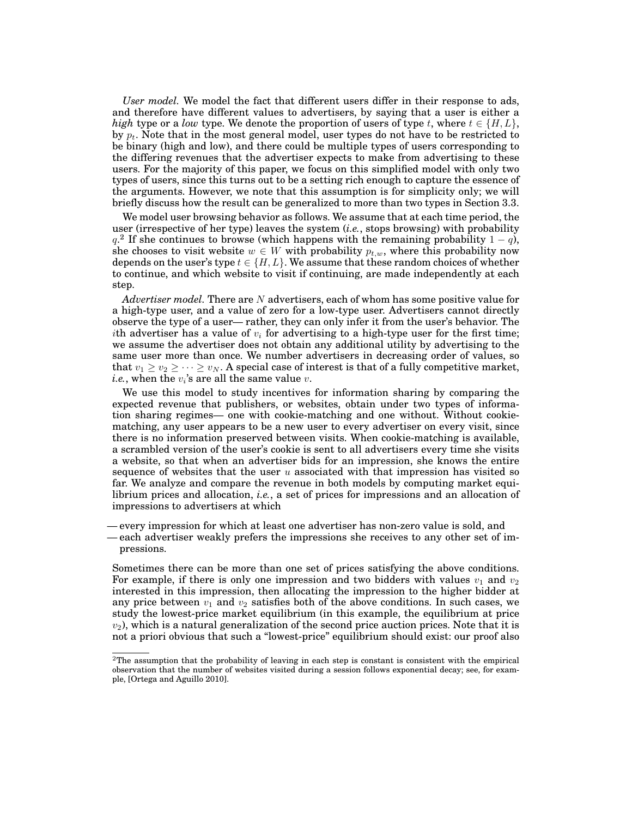*User model.* We model the fact that different users differ in their response to ads, and therefore have different values to advertisers, by saying that a user is either a *high* type or a *low* type. We denote the proportion of users of type t, where  $t \in \{H, L\}$ , by  $p_t$ . Note that in the most general model, user types do not have to be restricted to be binary (high and low), and there could be multiple types of users corresponding to the differing revenues that the advertiser expects to make from advertising to these users. For the majority of this paper, we focus on this simplified model with only two types of users, since this turns out to be a setting rich enough to capture the essence of the arguments. However, we note that this assumption is for simplicity only; we will briefly discuss how the result can be generalized to more than two types in Section 3.3.

We model user browsing behavior as follows. We assume that at each time period, the user (irrespective of her type) leaves the system (*i.e.*, stops browsing) with probability  $q<sup>2</sup>$  If she continues to browse (which happens with the remaining probability 1 – q), she chooses to visit website  $w \in W$  with probability  $p_{t,w}$ , where this probability now depends on the user's type  $t \in \{H, L\}$ . We assume that these random choices of whether to continue, and which website to visit if continuing, are made independently at each step.

*Advertiser model.* There are N advertisers, each of whom has some positive value for a high-type user, and a value of zero for a low-type user. Advertisers cannot directly observe the type of a user— rather, they can only infer it from the user's behavior. The ith advertiser has a value of  $v_i$  for advertising to a high-type user for the first time; we assume the advertiser does not obtain any additional utility by advertising to the same user more than once. We number advertisers in decreasing order of values, so that  $v_1 \ge v_2 \ge \cdots \ge v_N$ . A special case of interest is that of a fully competitive market,  $i.e.,$  when the  $v_i$ 's are all the same value  $v.$ 

We use this model to study incentives for information sharing by comparing the expected revenue that publishers, or websites, obtain under two types of information sharing regimes— one with cookie-matching and one without. Without cookiematching, any user appears to be a new user to every advertiser on every visit, since there is no information preserved between visits. When cookie-matching is available, a scrambled version of the user's cookie is sent to all advertisers every time she visits a website, so that when an advertiser bids for an impression, she knows the entire sequence of websites that the user  $u$  associated with that impression has visited so far. We analyze and compare the revenue in both models by computing market equilibrium prices and allocation, *i.e.*, a set of prices for impressions and an allocation of impressions to advertisers at which

— every impression for which at least one advertiser has non-zero value is sold, and

— each advertiser weakly prefers the impressions she receives to any other set of impressions.

Sometimes there can be more than one set of prices satisfying the above conditions. For example, if there is only one impression and two bidders with values  $v_1$  and  $v_2$ interested in this impression, then allocating the impression to the higher bidder at any price between  $v_1$  and  $v_2$  satisfies both of the above conditions. In such cases, we study the lowest-price market equilibrium (in this example, the equilibrium at price  $v_2$ ), which is a natural generalization of the second price auction prices. Note that it is not a priori obvious that such a "lowest-price" equilibrium should exist: our proof also

<sup>&</sup>lt;sup>2</sup>The assumption that the probability of leaving in each step is constant is consistent with the empirical observation that the number of websites visited during a session follows exponential decay; see, for example, [Ortega and Aguillo 2010].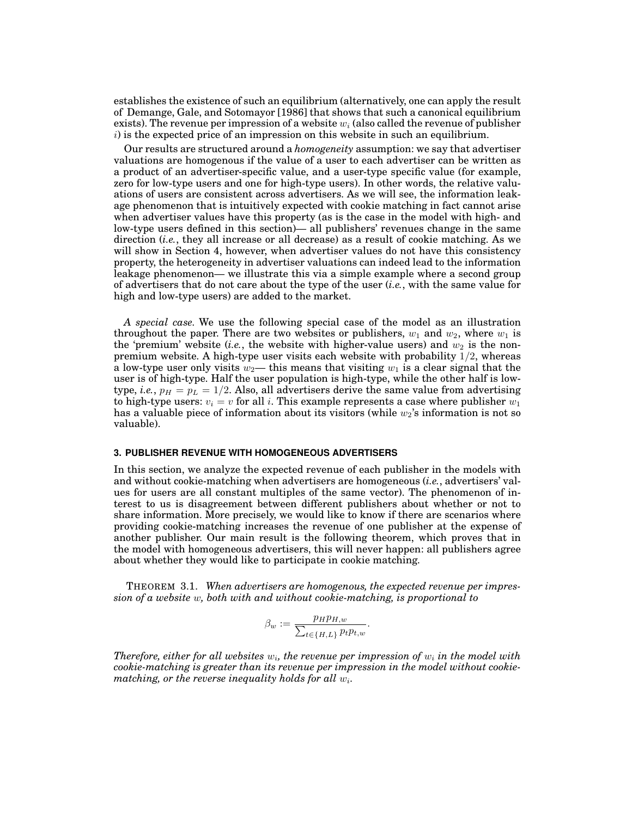establishes the existence of such an equilibrium (alternatively, one can apply the result of Demange, Gale, and Sotomayor [1986] that shows that such a canonical equilibrium exists). The revenue per impression of a website  $w_i$  (also called the revenue of publisher  $i)$  is the expected price of an impression on this website in such an equilibrium.

Our results are structured around a *homogeneity* assumption: we say that advertiser valuations are homogenous if the value of a user to each advertiser can be written as a product of an advertiser-specific value, and a user-type specific value (for example, zero for low-type users and one for high-type users). In other words, the relative valuations of users are consistent across advertisers. As we will see, the information leakage phenomenon that is intuitively expected with cookie matching in fact cannot arise when advertiser values have this property (as is the case in the model with high- and low-type users defined in this section)— all publishers' revenues change in the same direction (*i.e.*, they all increase or all decrease) as a result of cookie matching. As we will show in Section 4, however, when advertiser values do not have this consistency property, the heterogeneity in advertiser valuations can indeed lead to the information leakage phenomenon— we illustrate this via a simple example where a second group of advertisers that do not care about the type of the user (*i.e.*, with the same value for high and low-type users) are added to the market.

*A special case.* We use the following special case of the model as an illustration throughout the paper. There are two websites or publishers,  $w_1$  and  $w_2$ , where  $w_1$  is the 'premium' website (*i.e.*, the website with higher-value users) and  $w_2$  is the nonpremium website. A high-type user visits each website with probability  $1/2$ , whereas a low-type user only visits  $w_2$ — this means that visiting  $w_1$  is a clear signal that the user is of high-type. Half the user population is high-type, while the other half is lowtype, *i.e.*,  $p_H = p_L = 1/2$ . Also, all advertisers derive the same value from advertising to high-type users:  $v_i = v$  for all i. This example represents a case where publisher  $w_1$ has a valuable piece of information about its visitors (while  $w_2$ 's information is not so valuable).

## **3. PUBLISHER REVENUE WITH HOMOGENEOUS ADVERTISERS**

In this section, we analyze the expected revenue of each publisher in the models with and without cookie-matching when advertisers are homogeneous (*i.e.*, advertisers' values for users are all constant multiples of the same vector). The phenomenon of interest to us is disagreement between different publishers about whether or not to share information. More precisely, we would like to know if there are scenarios where providing cookie-matching increases the revenue of one publisher at the expense of another publisher. Our main result is the following theorem, which proves that in the model with homogeneous advertisers, this will never happen: all publishers agree about whether they would like to participate in cookie matching.

THEOREM 3.1. *When advertisers are homogenous, the expected revenue per impression of a website* w*, both with and without cookie-matching, is proportional to*

$$
\beta_w := \frac{p_H p_{H,w}}{\sum_{t \in \{H,L\}} p_t p_{t,w}}.
$$

Therefore, either for all websites  $w_i$ , the revenue per impression of  $w_i$  in the model with *cookie-matching is greater than its revenue per impression in the model without cookie*matching, or the reverse inequality holds for all  $w_i$ .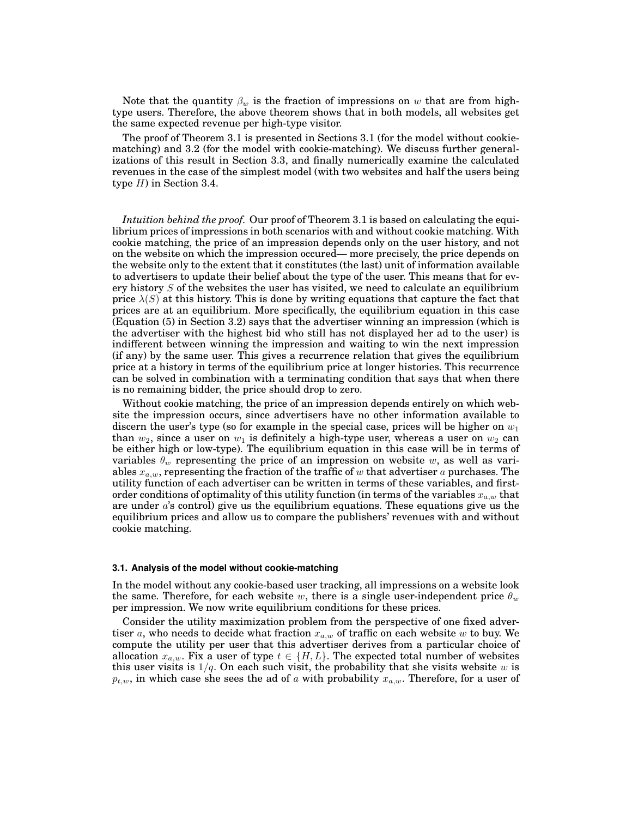Note that the quantity  $\beta_w$  is the fraction of impressions on w that are from hightype users. Therefore, the above theorem shows that in both models, all websites get the same expected revenue per high-type visitor.

The proof of Theorem 3.1 is presented in Sections 3.1 (for the model without cookiematching) and 3.2 (for the model with cookie-matching). We discuss further generalizations of this result in Section 3.3, and finally numerically examine the calculated revenues in the case of the simplest model (with two websites and half the users being type  $H$ ) in Section 3.4.

*Intuition behind the proof.* Our proof of Theorem 3.1 is based on calculating the equilibrium prices of impressions in both scenarios with and without cookie matching. With cookie matching, the price of an impression depends only on the user history, and not on the website on which the impression occured— more precisely, the price depends on the website only to the extent that it constitutes (the last) unit of information available to advertisers to update their belief about the type of the user. This means that for every history  $S$  of the websites the user has visited, we need to calculate an equilibrium price  $\lambda(S)$  at this history. This is done by writing equations that capture the fact that prices are at an equilibrium. More specifically, the equilibrium equation in this case (Equation (5) in Section 3.2) says that the advertiser winning an impression (which is the advertiser with the highest bid who still has not displayed her ad to the user) is indifferent between winning the impression and waiting to win the next impression (if any) by the same user. This gives a recurrence relation that gives the equilibrium price at a history in terms of the equilibrium price at longer histories. This recurrence can be solved in combination with a terminating condition that says that when there is no remaining bidder, the price should drop to zero.

Without cookie matching, the price of an impression depends entirely on which website the impression occurs, since advertisers have no other information available to discern the user's type (so for example in the special case, prices will be higher on  $w_1$ than  $w_2$ , since a user on  $w_1$  is definitely a high-type user, whereas a user on  $w_2$  can be either high or low-type). The equilibrium equation in this case will be in terms of variables  $\theta_w$  representing the price of an impression on website w, as well as variables  $x_{a,w}$ , representing the fraction of the traffic of w that advertiser a purchases. The utility function of each advertiser can be written in terms of these variables, and firstorder conditions of optimality of this utility function (in terms of the variables  $x_{a,w}$  that are under a's control) give us the equilibrium equations. These equations give us the equilibrium prices and allow us to compare the publishers' revenues with and without cookie matching.

#### **3.1. Analysis of the model without cookie-matching**

In the model without any cookie-based user tracking, all impressions on a website look the same. Therefore, for each website w, there is a single user-independent price  $\theta_w$ per impression. We now write equilibrium conditions for these prices.

Consider the utility maximization problem from the perspective of one fixed advertiser a, who needs to decide what fraction  $x_{a,w}$  of traffic on each website w to buy. We compute the utility per user that this advertiser derives from a particular choice of allocation  $x_{a,w}$ . Fix a user of type  $t \in \{H, L\}$ . The expected total number of websites this user visits is  $1/q$ . On each such visit, the probability that she visits website w is  $p_{t,w}$ , in which case she sees the ad of a with probability  $x_{a,w}$ . Therefore, for a user of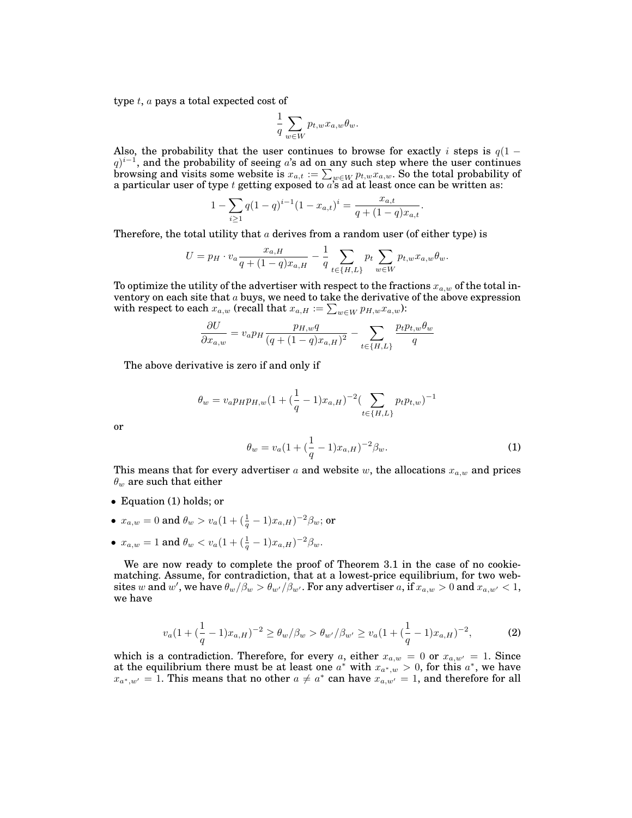type  $t$ ,  $a$  pays a total expected cost of

$$
\frac{1}{q}\sum_{w\in W}p_{t,w}x_{a,w}\theta_w.
$$

Also, the probability that the user continues to browse for exactly i steps is  $q(1$  $q^{i-1}$ , and the probability of seeing a's ad on any such step where the user continues browsing and visits some website is  $x_{a,t} := \sum_{w \in W} p_{t,w} x_{a,w}$ . So the total probability of a particular user of type t getting exposed to  $a$ 's ad at least once can be written as:

$$
1 - \sum_{i \ge 1} q(1-q)^{i-1} (1 - x_{a,t})^i = \frac{x_{a,t}}{q + (1-q)x_{a,t}}.
$$

Therefore, the total utility that  $a$  derives from a random user (of either type) is

$$
U = p_H \cdot v_a \frac{x_{a,H}}{q + (1-q)x_{a,H}} - \frac{1}{q} \sum_{t \in \{H,L\}} p_t \sum_{w \in W} p_{t,w} x_{a,w} \theta_w.
$$

To optimize the utility of the advertiser with respect to the fractions  $x_{a,w}$  of the total inventory on each site that  $a$  buys, we need to take the derivative of the above expression with respect to each  $x_{a,w}$  (recall that  $x_{a,H} := \sum_{w \in W} p_{H,w} x_{a,w}$ ):

$$
\frac{\partial U}{\partial x_{a,w}} = v_a p_H \frac{p_{H,w} q}{(q + (1-q)x_{a,H})^2} - \sum_{t \in \{H,L\}} \frac{p_t p_{t,w} \theta_w}{q}
$$

The above derivative is zero if and only if

$$
\theta_w = v_a p_H p_{H,w} (1 + (\frac{1}{q} - 1)x_{a,H})^{-2} (\sum_{t \in \{H, L\}} p_t p_{t,w})^{-1}
$$

or

$$
\theta_w = v_a (1 + (\frac{1}{q} - 1)x_{a,H})^{-2} \beta_w.
$$
 (1)

This means that for every advertiser a and website w, the allocations  $x_{a,w}$  and prices  $\theta_w$  are such that either

- Equation (1) holds; or
- $x_{a,w} = 0$  and  $\theta_w > v_a (1 + (\frac{1}{q} 1)x_{a,H})^{-2} \beta_w$ ; or
- $x_{a,w} = 1$  and  $\theta_w < v_a(1 + (\frac{1}{q} 1)x_{a,H})^{-2}\beta_w$ .

We are now ready to complete the proof of Theorem 3.1 in the case of no cookiematching. Assume, for contradiction, that at a lowest-price equilibrium, for two websites  $w$  and  $w'$ , we have  $\theta_w/\beta_w > \theta_{w'}/\beta_{w'}$ . For any advertiser  $a$ , if  $x_{a,w}>0$  and  $x_{a,w'}< 1$ , we have

$$
v_a(1+(\frac{1}{q}-1)x_{a,H})^{-2} \ge \theta_w/\beta_w > \theta_{w'}/\beta_{w'} \ge v_a(1+(\frac{1}{q}-1)x_{a,H})^{-2},
$$
 (2)

which is a contradiction. Therefore, for every a, either  $x_{a,w} = 0$  or  $x_{a,w'} = 1$ . Since at the equilibrium there must be at least one  $a^*$  with  $x_{a^*,w} > 0$ , for this  $a^*$ , we have  $x_{a^*,w'} = 1$ . This means that no other  $a \neq a^*$  can have  $x_{a,w'} = 1$ , and therefore for all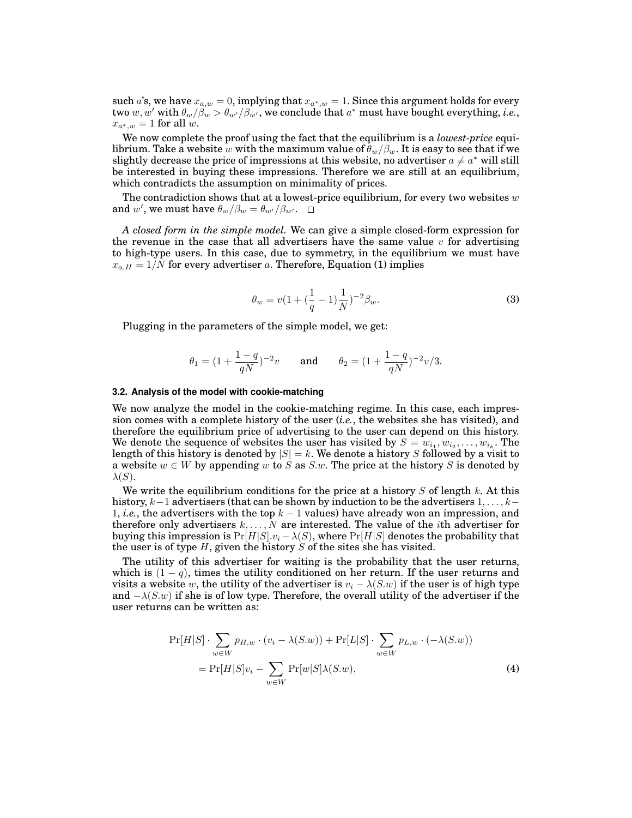such a's, we have  $x_{a,w} = 0$ , implying that  $x_{a^*,w} = 1$ . Since this argument holds for every  $t$ wo  $w,w'$  with  $\theta_w/\beta_w > \theta_{w'}/\beta_{w'}$ , we conclude that  $a^*$  must have bought everything, *i.e.*,  $x_{a^*,w} = 1$  for all w.

We now complete the proof using the fact that the equilibrium is a *lowest-price* equilibrium. Take a website w with the maximum value of  $\theta_w/\beta_w$ . It is easy to see that if we slightly decrease the price of impressions at this website, no advertiser  $a\neq a^*$  will still be interested in buying these impressions. Therefore we are still at an equilibrium, which contradicts the assumption on minimality of prices.

The contradiction shows that at a lowest-price equilibrium, for every two websites  $w$ and w', we must have  $\theta_w/\beta_w = \theta_{w'}/\beta_{w'}.$ 

*A closed form in the simple model.* We can give a simple closed-form expression for the revenue in the case that all advertisers have the same value  $v$  for advertising to high-type users. In this case, due to symmetry, in the equilibrium we must have  $x_{a,H} = 1/N$  for every advertiser a. Therefore, Equation (1) implies

$$
\theta_w = v(1 + (\frac{1}{q} - 1)\frac{1}{N})^{-2} \beta_w.
$$
\n(3)

Plugging in the parameters of the simple model, we get:

$$
\theta_1 = (1 + \frac{1-q}{qN})^{-2}v
$$
 and  $\theta_2 = (1 + \frac{1-q}{qN})^{-2}v/3$ .

#### **3.2. Analysis of the model with cookie-matching**

We now analyze the model in the cookie-matching regime. In this case, each impression comes with a complete history of the user (*i.e.*, the websites she has visited), and therefore the equilibrium price of advertising to the user can depend on this history. We denote the sequence of websites the user has visited by  $S = w_{i_1}, w_{i_2}, \ldots, w_{i_k}$ . The length of this history is denoted by  $|S| = k$ . We denote a history S followed by a visit to a website  $w \in W$  by appending w to S as S.w. The price at the history S is denoted by  $\lambda(S)$ .

We write the equilibrium conditions for the price at a history  $S$  of length k. At this history,  $k-1$  advertisers (that can be shown by induction to be the advertisers  $1, \ldots, k-1$ 1, *i.e.*, the advertisers with the top *k* − 1 values) have already won an impression, and therefore only advertisers  $k, \ldots, N$  are interested. The value of the *i*th advertiser for buying this impression is  $Pr[H|S| \cdot v_i - \lambda(S)$ , where  $Pr[H|S]$  denotes the probability that the user is of type  $H$ , given the history S of the sites she has visited.

The utility of this advertiser for waiting is the probability that the user returns, which is  $(1 - q)$ , times the utility conditioned on her return. If the user returns and visits a website w, the utility of the advertiser is  $v_i - \lambda(S,w)$  if the user is of high type and  $-\lambda(S,w)$  if she is of low type. Therefore, the overall utility of the advertiser if the user returns can be written as:

$$
\Pr[H|S] \cdot \sum_{w \in W} p_{H,w} \cdot (v_i - \lambda(S.w)) + \Pr[L|S] \cdot \sum_{w \in W} p_{L,w} \cdot (-\lambda(S.w))
$$
  
= 
$$
\Pr[H|S]v_i - \sum_{w \in W} \Pr[w|S]\lambda(S.w),
$$
 (4)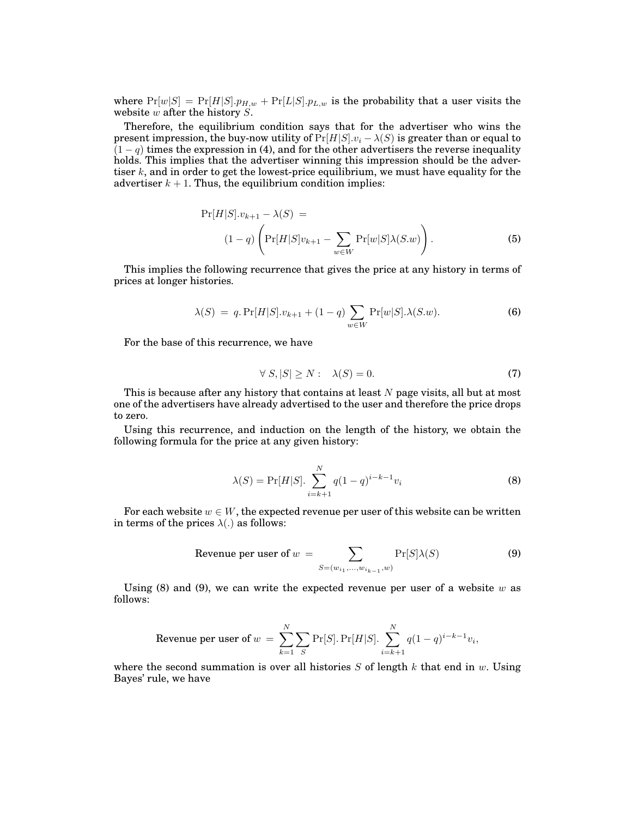where  $Pr[w|S] = Pr[H|S] \cdot p_{H,w} + Pr[L|S] \cdot p_{L,w}$  is the probability that a user visits the website  $w$  after the history  $S$ .

Therefore, the equilibrium condition says that for the advertiser who wins the present impression, the buy-now utility of  $Pr[H|S| \cdot v_i - \lambda(S)$  is greater than or equal to  $(1 - q)$  times the expression in (4), and for the other advertisers the reverse inequality holds. This implies that the advertiser winning this impression should be the advertiser k, and in order to get the lowest-price equilibrium, we must have equality for the advertiser  $k + 1$ . Thus, the equilibrium condition implies:

$$
\Pr[H|S].v_{k+1} - \lambda(S) =
$$
  

$$
(1-q)\left(\Pr[H|S]v_{k+1} - \sum_{w \in W} \Pr[w|S]\lambda(S.w)\right).
$$
 (5)

This implies the following recurrence that gives the price at any history in terms of prices at longer histories.

$$
\lambda(S) = q \cdot \Pr[H|S] \cdot v_{k+1} + (1-q) \sum_{w \in W} \Pr[w|S] \cdot \lambda(S.w).
$$
 (6)

For the base of this recurrence, we have

$$
\forall S, |S| \ge N : \quad \lambda(S) = 0. \tag{7}
$$

This is because after any history that contains at least  $N$  page visits, all but at most one of the advertisers have already advertised to the user and therefore the price drops to zero.

Using this recurrence, and induction on the length of the history, we obtain the following formula for the price at any given history:

$$
\lambda(S) = \Pr[H|S] \cdot \sum_{i=k+1}^{N} q(1-q)^{i-k-1} v_i
$$
\n(8)

For each website  $w \in W$ , the expected revenue per user of this website can be written in terms of the prices  $\lambda(.)$  as follows:

$$
\text{Revenue per user of } w = \sum_{S = (w_{i_1}, \dots, w_{i_{k-1}}, w)} \Pr[S] \lambda(S) \tag{9}
$$

Using (8) and (9), we can write the expected revenue per user of a website  $w$  as follows:

**Revenue per user of** 
$$
w = \sum_{k=1}^{N} \sum_{S} \Pr[S] \cdot \Pr[H|S] \cdot \sum_{i=k+1}^{N} q(1-q)^{i-k-1} v_i
$$
,

where the second summation is over all histories S of length k that end in w. Using Bayes' rule, we have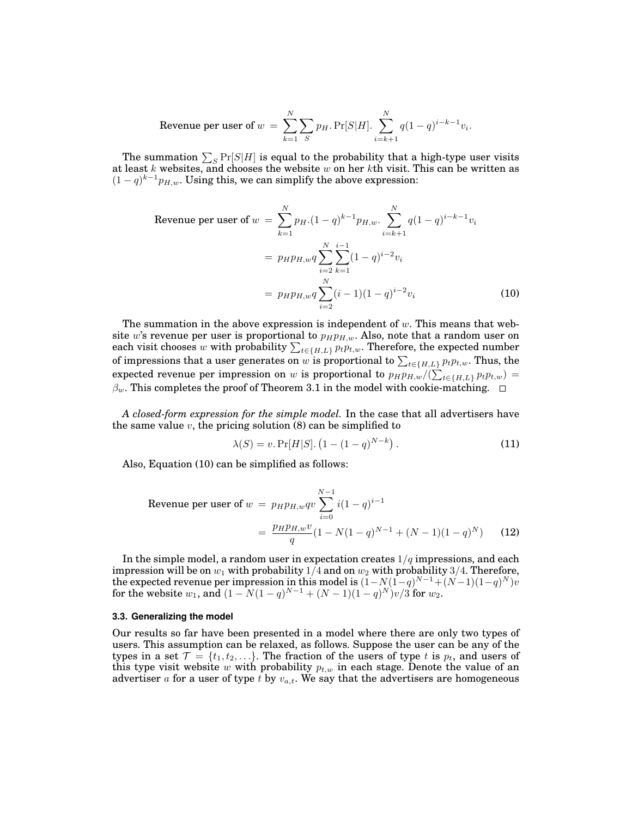**Revenue per user of** 
$$
w = \sum_{k=1}^{N} \sum_{S} p_H \cdot \Pr[S|H] \cdot \sum_{i=k+1}^{N} q(1-q)^{i-k-1} v_i
$$
.

The summation  $\sum_{S} Pr[S|H]$  is equal to the probability that a high-type user visits at least  $k$  websites, and chooses the website  $w$  on her  $k$ th visit. This can be written as  $(1 - q)^{k-1} p_{H,w}$ . Using this, we can simplify the above expression:

Revenue per user of 
$$
w = \sum_{k=1}^{N} p_H \cdot (1-q)^{k-1} p_{H,w} \cdot \sum_{i=k+1}^{N} q(1-q)^{i-k-1} v_i
$$

\n
$$
= p_H p_{H,w} q \sum_{i=2}^{N} \sum_{k=1}^{i-1} (1-q)^{i-2} v_i
$$
\n
$$
= p_H p_{H,w} q \sum_{i=2}^{N} (i-1)(1-q)^{i-2} v_i
$$
\n(10)

The summation in the above expression is independent of  $w$ . This means that website w's revenue per user is proportional to  $p_H p_{H,w}$ . Also, note that a random user on each visit chooses  $w$  with probability  $\sum_{t\in\{H,L\}}p_t p_{t,w}.$  Therefore, the expected number of impressions that a user generates on  $w$  is proportional to  $\sum_{t \in \{H,L\}} p_t p_{t,w}.$  Thus, the expected revenue per impression on w is proportional to  $p_H p_{H,w}/(\sum_{t \in \{H,L\}} p_t p_{t,w}) =$  $\beta_w$ . This completes the proof of Theorem 3.1 in the model with cookie-matching.  $\Box$ 

*A closed-form expression for the simple model.* In the case that all advertisers have the same value  $v$ , the pricing solution  $(8)$  can be simplified to

$$
\lambda(S) = v \cdot \Pr[H|S] \cdot (1 - (1 - q)^{N - k}). \tag{11}
$$

Also, Equation (10) can be simplified as follows:

$$
\text{Revenue per user of } w = p_H p_{H,w} q v \sum_{i=0}^{N-1} i (1 - q)^{i-1}
$$
\n
$$
= \frac{p_H p_{H,w} v}{q} (1 - N(1 - q)^{N-1} + (N - 1)(1 - q)^N) \tag{12}
$$

In the simple model, a random user in expectation creates  $1/q$  impressions, and each impression will be on  $w_1$  with probability  $1/\overline{4}$  and on  $w_2$  with probability  $3/4$ . Therefore, the expected revenue per impression in this model is  $(1-N(1-q)^{N-1}+(N-1)(1-q)^N)v$ for the website  $w_1$ , and  $(1-N(1-q)^{N-1}+(N-1)(1-q)^N)v/3$  for  $w_2$ .

### **3.3. Generalizing the model**

Our results so far have been presented in a model where there are only two types of users. This assumption can be relaxed, as follows. Suppose the user can be any of the types in a set  $\mathcal{T} = \{t_1, t_2, \ldots\}$ . The fraction of the users of type t is  $p_t$ , and users of this type visit website  $w$  with probability  $p_{t,w}$  in each stage. Denote the value of an advertiser  $a$  for a user of type  $t$  by  $v_{a,t}.$  We say that the advertisers are homogeneous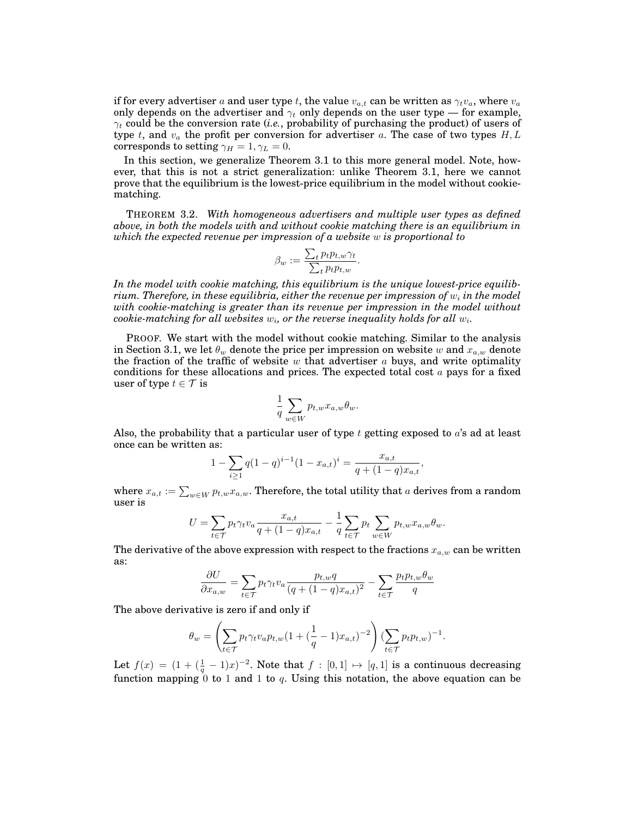if for every advertiser a and user type t, the value  $v_{a,t}$  can be written as  $\gamma_t v_a$ , where  $v_a$ only depends on the advertiser and  $\gamma_t$  only depends on the user type — for example,  $\gamma_t$  could be the conversion rate (*i.e.*, probability of purchasing the product) of users of type t, and  $v_a$  the profit per conversion for advertiser a. The case of two types  $H, L$ corresponds to setting  $\gamma_H = 1, \gamma_L = 0$ .

In this section, we generalize Theorem 3.1 to this more general model. Note, however, that this is not a strict generalization: unlike Theorem 3.1, here we cannot prove that the equilibrium is the lowest-price equilibrium in the model without cookiematching.

THEOREM 3.2. *With homogeneous advertisers and multiple user types as defined above, in both the models with and without cookie matching there is an equilibrium in which the expected revenue per impression of a website* w *is proportional to*

$$
\beta_w := \frac{\sum_t p_t p_{t,w} \gamma_t}{\sum_t p_t p_{t,w}}.
$$

*In the model with cookie matching, this equilibrium is the unique lowest-price equilibrium. Therefore, in these equilibria, either the revenue per impression of*  $w_i$  *in the model with cookie-matching is greater than its revenue per impression in the model without*  $\emph{cookie-matching}$  for all websites  $w_i$ , or the reverse inequality holds for all  $w_i.$ 

PROOF. We start with the model without cookie matching. Similar to the analysis in Section 3.1, we let  $\theta_w$  denote the price per impression on website w and  $x_{a,w}$  denote the fraction of the traffic of website  $w$  that advertiser  $a$  buys, and write optimality conditions for these allocations and prices. The expected total cost  $a$  pays for a fixed user of type  $t \in \mathcal{T}$  is

$$
\frac{1}{q}\sum_{w\in W}p_{t,w}x_{a,w}\theta_{w}.
$$

Also, the probability that a particular user of type t getting exposed to  $\vec{a}$ 's ad at least once can be written as:

$$
1 - \sum_{i \ge 1} q(1-q)^{i-1} (1 - x_{a,t})^i = \frac{x_{a,t}}{q + (1-q)x_{a,t}},
$$

where  $x_{a,t} := \sum_{w \in W} p_{t,w} x_{a,w}.$  Therefore, the total utility that  $a$  derives from a random user is

$$
U = \sum_{t \in \mathcal{T}} p_t \gamma_t v_a \frac{x_{a,t}}{q + (1-q)x_{a,t}} - \frac{1}{q} \sum_{t \in \mathcal{T}} p_t \sum_{w \in W} p_{t,w} x_{a,w} \theta_w.
$$

The derivative of the above expression with respect to the fractions  $x_{a,w}$  can be written as:

$$
\frac{\partial U}{\partial x_{a,w}} = \sum_{t \in \mathcal{T}} p_t \gamma_t v_a \frac{p_{t,w} q}{(q + (1-q)x_{a,t})^2} - \sum_{t \in \mathcal{T}} \frac{p_t p_{t,w} \theta_w}{q}
$$

The above derivative is zero if and only if

$$
\theta_w = \left(\sum_{t \in \mathcal{T}} p_t \gamma_t v_a p_{t,w} (1 + (\frac{1}{q} - 1) x_{a,t})^{-2}\right) (\sum_{t \in \mathcal{T}} p_t p_{t,w})^{-1}.
$$

Let  $f(x) = (1 + (\frac{1}{q} - 1)x)^{-2}$ . Note that  $f : [0,1] \mapsto [q,1]$  is a continuous decreasing function mapping 0 to 1 and 1 to q. Using this notation, the above equation can be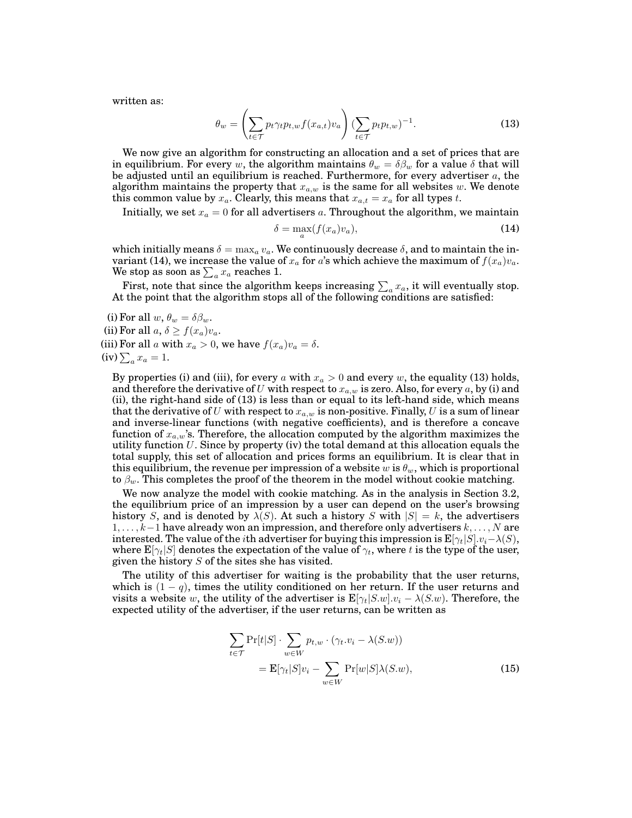written as:

$$
\theta_w = \left(\sum_{t \in \mathcal{T}} p_t \gamma_t p_{t,w} f(x_{a,t}) v_a\right) \left(\sum_{t \in \mathcal{T}} p_t p_{t,w}\right)^{-1}.\tag{13}
$$

We now give an algorithm for constructing an allocation and a set of prices that are in equilibrium. For every w, the algorithm maintains  $\theta_w = \delta \beta_w$  for a value  $\delta$  that will be adjusted until an equilibrium is reached. Furthermore, for every advertiser  $a$ , the algorithm maintains the property that  $x_{a,w}$  is the same for all websites w. We denote this common value by  $x_a$ . Clearly, this means that  $x_{a,t} = x_a$  for all types t.

Initially, we set  $x_a = 0$  for all advertisers a. Throughout the algorithm, we maintain

$$
\delta = \max_{a} (f(x_a)v_a),\tag{14}
$$

which initially means  $\delta = \max_a v_a$ . We continuously decrease  $\delta$ , and to maintain the invariant (14), we increase the value of  $x_a$  for a's which achieve the maximum of  $f(x_a)v_a$ . We stop as soon as  $\sum_{a} x_a$  reaches 1.

First, note that since the algorithm keeps increasing  $\sum_{a} x_a$ , it will eventually stop. At the point that the algorithm stops all of the following conditions are satisfied:

(i) For all  $w, \theta_w = \delta \beta_w$ . (ii) For all  $a, \delta \geq f(x_a)v_a$ . (iii) For all a with  $x_a > 0$ , we have  $f(x_a)v_a = \delta$ .

$$
(iv) \sum_a x_a = 1.
$$

By properties (i) and (iii), for every a with  $x_a > 0$  and every w, the equality (13) holds, and therefore the derivative of U with respect to  $x_{a,w}$  is zero. Also, for every a, by (i) and (ii), the right-hand side of (13) is less than or equal to its left-hand side, which means that the derivative of U with respect to  $x_{a,w}$  is non-positive. Finally, U is a sum of linear and inverse-linear functions (with negative coefficients), and is therefore a concave function of  $x_{a,w}$ 's. Therefore, the allocation computed by the algorithm maximizes the utility function  $U$ . Since by property (iv) the total demand at this allocation equals the total supply, this set of allocation and prices forms an equilibrium. It is clear that in this equilibrium, the revenue per impression of a website w is  $\theta_w$ , which is proportional to  $\beta_w$ . This completes the proof of the theorem in the model without cookie matching.

We now analyze the model with cookie matching. As in the analysis in Section 3.2, the equilibrium price of an impression by a user can depend on the user's browsing history S, and is denoted by  $\lambda(S)$ . At such a history S with  $|S| = k$ , the advertisers  $1, \ldots, k-1$  have already won an impression, and therefore only advertisers  $k, \ldots, N$  are interested. The value of the *i*th advertiser for buying this impression is  $\mathbf{E}[\gamma_t|S].v_i-\lambda(S)$ , where  $\mathbb{E}[\gamma_t|S]$  denotes the expectation of the value of  $\gamma_t$ , where t is the type of the user, given the history  $S$  of the sites she has visited.

The utility of this advertiser for waiting is the probability that the user returns, which is  $(1 - q)$ , times the utility conditioned on her return. If the user returns and visits a website w, the utility of the advertiser is  $\mathbf{E}[\gamma_t|S.w].v_i - \lambda(S.w).$  Therefore, the expected utility of the advertiser, if the user returns, can be written as

$$
\sum_{t \in \mathcal{T}} \Pr[t|S] \cdot \sum_{w \in W} p_{t,w} \cdot (\gamma_t \cdot v_i - \lambda(S \cdot w))
$$
  
= 
$$
\mathbf{E}[\gamma_t|S]v_i - \sum_{w \in W} \Pr[w|S] \lambda(S \cdot w),
$$
 (15)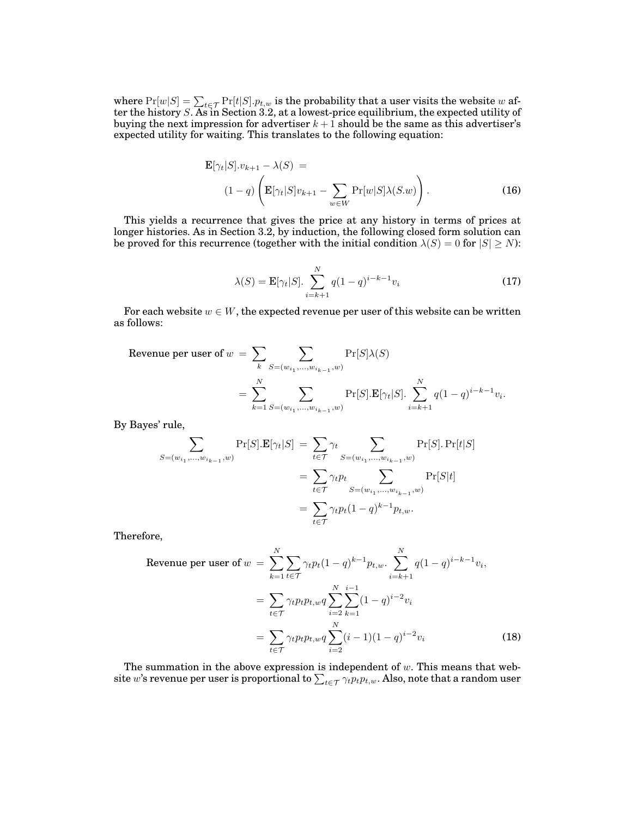where  $Pr[w|S] = \sum_{t \in \mathcal{T}} Pr[t|S] \cdot p_{t,w}$  is the probability that a user visits the website w after the history S. As in Section 3.2, at a lowest-price equilibrium, the expected utility of buying the next impression for advertiser  $k+1$  should be the same as this advertiser's expected utility for waiting. This translates to the following equation:

$$
\mathbf{E}[\gamma_t|S].v_{k+1} - \lambda(S) =
$$
  

$$
(1-q)\left(\mathbf{E}[\gamma_t|S]v_{k+1} - \sum_{w \in W} \Pr[w|S]\lambda(S.w)\right).
$$
 (16)

This yields a recurrence that gives the price at any history in terms of prices at longer histories. As in Section 3.2, by induction, the following closed form solution can be proved for this recurrence (together with the initial condition  $\lambda(S) = 0$  for  $|S| \ge N$ ):

$$
\lambda(S) = \mathbf{E}[\gamma_t|S]. \sum_{i=k+1}^{N} q(1-q)^{i-k-1} v_i
$$
 (17)

For each website  $w \in W$ , the expected revenue per user of this website can be written as follows:

Revenue per user of 
$$
w = \sum_{k} \sum_{S=(w_{i_1}, \ldots, w_{i_{k-1}}, w)} \Pr[S] \lambda(S)
$$

\n
$$
= \sum_{k=1}^{N} \sum_{S=(w_{i_1}, \ldots, w_{i_{k-1}}, w)} \Pr[S] \cdot \mathbf{E}[\gamma_t | S] \cdot \sum_{i=k+1}^{N} q(1-q)^{i-k-1} v_i.
$$

By Bayes' rule,

$$
\sum_{S=(w_{i_1},...,w_{i_{k-1}},w)} \Pr[S].\mathbf{E}[\gamma_t|S] = \sum_{t \in \mathcal{T}} \gamma_t \sum_{S=(w_{i_1},...,w_{i_{k-1}},w)} \Pr[S].\Pr[t|S]
$$

$$
= \sum_{t \in \mathcal{T}} \gamma_t p_t \sum_{S=(w_{i_1},...,w_{i_{k-1}},w)} \Pr[S|t]
$$

$$
= \sum_{t \in \mathcal{T}} \gamma_t p_t (1-q)^{k-1} p_{t,w}.
$$

Therefore,

Revenue per user of 
$$
w = \sum_{k=1}^{N} \sum_{t \in \mathcal{T}} \gamma_t p_t (1 - q)^{k-1} p_{t,w} \cdot \sum_{i=k+1}^{N} q (1 - q)^{i-k-1} v_i,
$$

\n
$$
= \sum_{t \in \mathcal{T}} \gamma_t p_t p_{t,w} q \sum_{i=2}^{N} \sum_{k=1}^{i-1} (1 - q)^{i-2} v_i
$$
\n
$$
= \sum_{t \in \mathcal{T}} \gamma_t p_t p_{t,w} q \sum_{i=2}^{N} (i-1)(1 - q)^{i-2} v_i
$$
\n(18)

The summation in the above expression is independent of  $w$ . This means that website  $w$ 's revenue per user is proportional to  $\sum_{t\in\mathcal{T}}\gamma_t p_t p_{t,w}.$  Also, note that a random user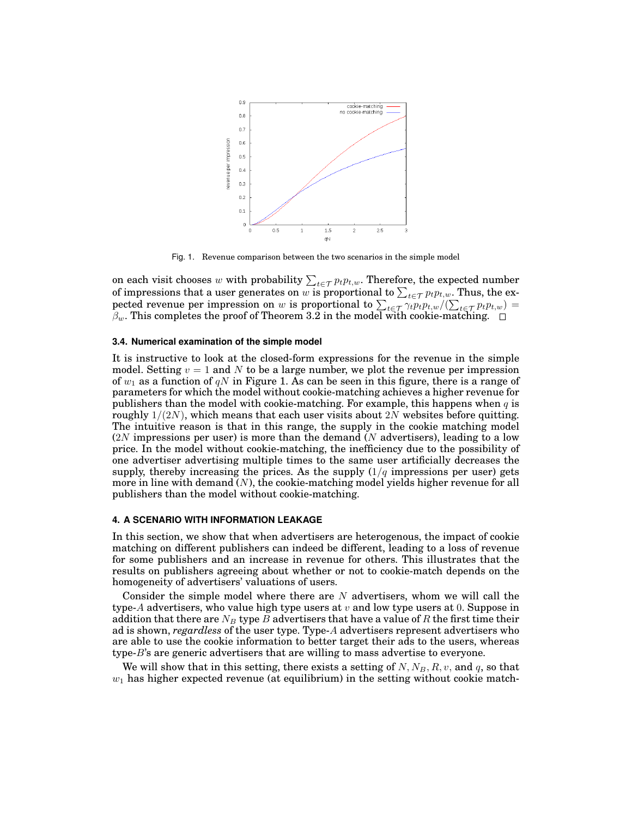

Fig. 1. Revenue comparison between the two scenarios in the simple model

on each visit chooses  $w$  with probability  $\sum_{t\in\mathcal{T}}p_tp_{t,w}.$  Therefore, the expected number of impressions that a user generates on  $w$  is proportional to  $\sum_{t \in \mathcal{T}} p_t p_{t,w}.$  Thus, the expected revenue per impression on w is proportional to  $\sum_{t \in \mathcal{T}} \gamma_t p_t p_{t,w}/(\sum_{t \in \mathcal{T}} p_t p_{t,w}) =$  $\beta_w.$  This completes the proof of Theorem 3.2 in the model with cookie-matching.

## **3.4. Numerical examination of the simple model**

It is instructive to look at the closed-form expressions for the revenue in the simple model. Setting  $v = 1$  and N to be a large number, we plot the revenue per impression of  $w_1$  as a function of qN in Figure 1. As can be seen in this figure, there is a range of parameters for which the model without cookie-matching achieves a higher revenue for publishers than the model with cookie-matching. For example, this happens when  $q$  is roughly  $1/(2N)$ , which means that each user visits about 2N websites before quitting. The intuitive reason is that in this range, the supply in the cookie matching model  $(2N \text{ impressions per user})$  is more than the demand (N advertisers), leading to a low price. In the model without cookie-matching, the inefficiency due to the possibility of one advertiser advertising multiple times to the same user artificially decreases the supply, thereby increasing the prices. As the supply  $(1/q)$  impressions per user) gets more in line with demand  $(N)$ , the cookie-matching model yields higher revenue for all publishers than the model without cookie-matching.

## **4. A SCENARIO WITH INFORMATION LEAKAGE**

In this section, we show that when advertisers are heterogenous, the impact of cookie matching on different publishers can indeed be different, leading to a loss of revenue for some publishers and an increase in revenue for others. This illustrates that the results on publishers agreeing about whether or not to cookie-match depends on the homogeneity of advertisers' valuations of users.

Consider the simple model where there are  $N$  advertisers, whom we will call the type-A advertisers, who value high type users at  $v$  and low type users at  $0$ . Suppose in addition that there are  $N_B$  type B advertisers that have a value of R the first time their ad is shown, *regardless* of the user type. Type-A advertisers represent advertisers who are able to use the cookie information to better target their ads to the users, whereas type-B's are generic advertisers that are willing to mass advertise to everyone.

We will show that in this setting, there exists a setting of  $N, N_B, R, v$ , and q, so that  $w_1$  has higher expected revenue (at equilibrium) in the setting without cookie match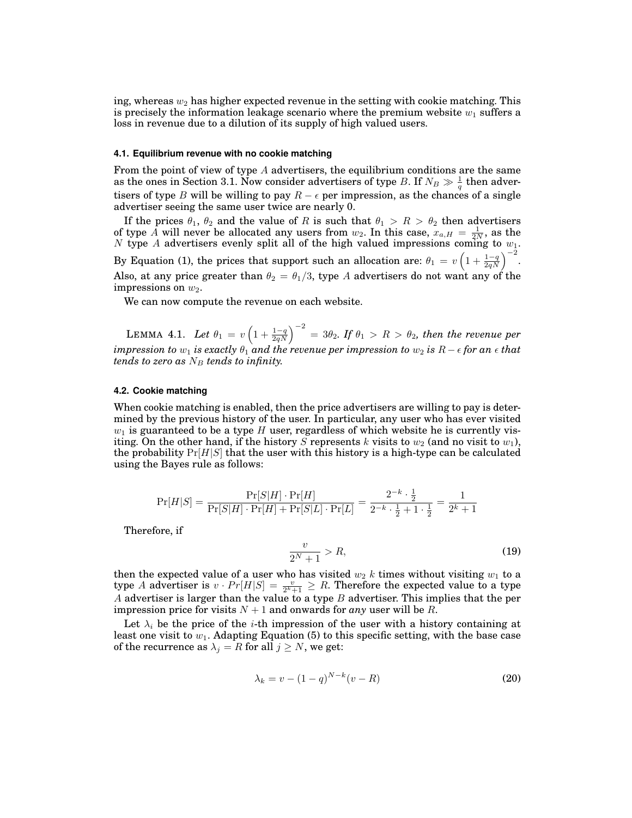ing, whereas  $w_2$  has higher expected revenue in the setting with cookie matching. This is precisely the information leakage scenario where the premium website  $w_1$  suffers a loss in revenue due to a dilution of its supply of high valued users.

## **4.1. Equilibrium revenue with no cookie matching**

From the point of view of type  $A$  advertisers, the equilibrium conditions are the same as the ones in Section 3.1. Now consider advertisers of type B. If  $N_B \gg \frac{1}{q}$  then advertisers of type B will be willing to pay  $R - \epsilon$  per impression, as the chances of a single advertiser seeing the same user twice are nearly 0.

If the prices  $\theta_1$ ,  $\theta_2$  and the value of R is such that  $\theta_1 > R > \theta_2$  then advertisers of type  $\overline{A}$  will never be allocated any users from  $w_2$ . In this case,  $x_{a,H} = \frac{1}{2N}$ , as the N type A advertisers evenly split all of the high valued impressions coming to  $w_1$ . By Equation (1), the prices that support such an allocation are:  $\theta_1 = v \left(1 + \frac{1-q}{2qN}\right)^{-2}$ . Also, at any price greater than  $\theta_2 = \theta_1/3$ , type A advertisers do not want any of the impressions on  $w_2$ .

We can now compute the revenue on each website.

LEMMA 4.1. Let  $\theta_1 = v \left(1 + \frac{1-q}{2qN} \right)^{-2} = 3 \theta_2$ . If  $\theta_1 > R > \theta_2$ , then the revenue per  $impression$   $to$   $w_1$   $is$   $exactly$   $\theta_1$   $and$   $the$   $revenue$   $per$   $impression$   $to$   $w_2$   $is$   $R-\epsilon$   $for$   $an$   $\epsilon$   $that$ *tends to zero as*  $N_B$  *tends to infinity.* 

## **4.2. Cookie matching**

When cookie matching is enabled, then the price advertisers are willing to pay is determined by the previous history of the user. In particular, any user who has ever visited  $w_1$  is guaranteed to be a type H user, regardless of which website he is currently visiting. On the other hand, if the history S represents k visits to  $w_2$  (and no visit to  $w_1$ ), the probability  $Pr[H|S]$  that the user with this history is a high-type can be calculated using the Bayes rule as follows:

$$
\Pr[H|S] = \frac{\Pr[S|H] \cdot \Pr[H]}{\Pr[S|H] \cdot \Pr[H] + \Pr[S|L] \cdot \Pr[L]} = \frac{2^{-k} \cdot \frac{1}{2}}{2^{-k} \cdot \frac{1}{2} + 1 \cdot \frac{1}{2}} = \frac{1}{2^{k} + 1}
$$

Therefore, if

$$
\frac{v}{2^N+1} > R,\tag{19}
$$

then the expected value of a user who has visited  $w_2$   $k$  times without visiting  $w_1$  to a type A advertiser is  $v \cdot Pr[H|S] = \frac{v}{2^k+1} \geq R$ . Therefore the expected value to a type A advertiser is larger than the value to a type B advertiser. This implies that the per impression price for visits  $N + 1$  and onwards for *any* user will be R.

Let  $\lambda_i$  be the price of the *i*-th impression of the user with a history containing at least one visit to  $w_1$ . Adapting Equation (5) to this specific setting, with the base case of the recurrence as  $\lambda_j = R$  for all  $j \geq N$ , we get:

$$
\lambda_k = v - (1 - q)^{N - k} (v - R)
$$
 (20)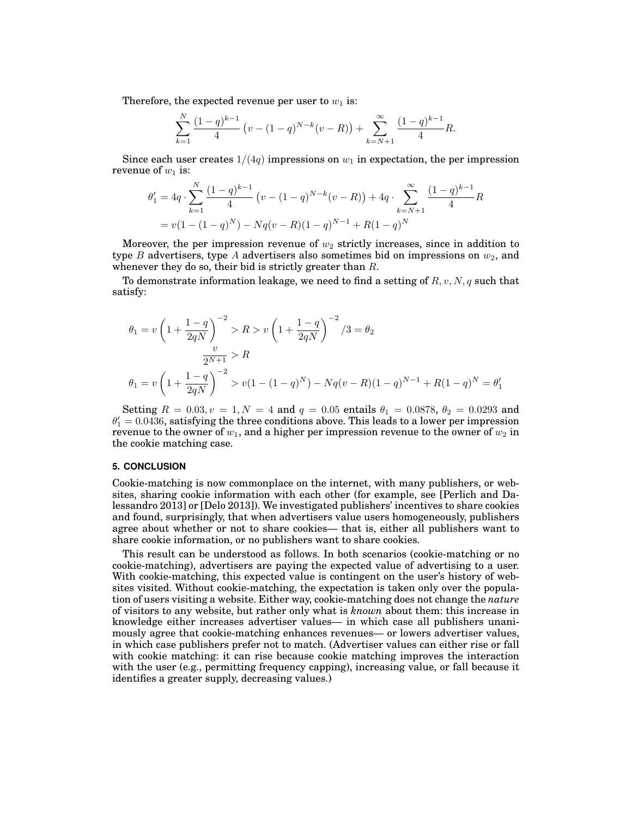Therefore, the expected revenue per user to  $w_1$  is:

$$
\sum_{k=1}^{N} \frac{(1-q)^{k-1}}{4} \left( v - (1-q)^{N-k} (v-R) \right) + \sum_{k=N+1}^{\infty} \frac{(1-q)^{k-1}}{4} R.
$$

Since each user creates  $1/(4q)$  impressions on  $w_1$  in expectation, the per impression revenue of  $w_1$  is:

$$
\theta_1' = 4q \cdot \sum_{k=1}^{N} \frac{(1-q)^{k-1}}{4} \left( v - (1-q)^{N-k} (v - R) \right) + 4q \cdot \sum_{k=N+1}^{\infty} \frac{(1-q)^{k-1}}{4} R
$$
  
=  $v(1 - (1-q)^N) - Nq(v - R)(1-q)^{N-1} + R(1-q)^N$ 

Moreover, the per impression revenue of  $w_2$  strictly increases, since in addition to type B advertisers, type A advertisers also sometimes bid on impressions on  $w_2$ , and whenever they do so, their bid is strictly greater than  $R$ .

To demonstrate information leakage, we need to find a setting of  $R, v, N, q$  such that satisfy:

$$
\theta_1 = v \left( 1 + \frac{1-q}{2qN} \right)^{-2} > R > v \left( 1 + \frac{1-q}{2qN} \right)^{-2} / 3 = \theta_2
$$
  

$$
\frac{v}{2^{N+1}} > R
$$
  

$$
\theta_1 = v \left( 1 + \frac{1-q}{2qN} \right)^{-2} > v(1 - (1-q)^N) - Nq(v-R)(1-q)^{N-1} + R(1-q)^N = \theta_1'
$$

Setting  $R = 0.03, v = 1, N = 4$  and  $q = 0.05$  entails  $\theta_1 = 0.0878, \theta_2 = 0.0293$  and  $\theta_1^\prime = 0.0436,$  satisfying the three conditions above. This leads to a lower per impression revenue to the owner of  $w_1$ , and a higher per impression revenue to the owner of  $w_2$  in the cookie matching case.

## **5. CONCLUSION**

Cookie-matching is now commonplace on the internet, with many publishers, or websites, sharing cookie information with each other (for example, see [Perlich and Dalessandro 2013] or [Delo 2013]). We investigated publishers' incentives to share cookies and found, surprisingly, that when advertisers value users homogeneously, publishers agree about whether or not to share cookies— that is, either all publishers want to share cookie information, or no publishers want to share cookies.

This result can be understood as follows. In both scenarios (cookie-matching or no cookie-matching), advertisers are paying the expected value of advertising to a user. With cookie-matching, this expected value is contingent on the user's history of websites visited. Without cookie-matching, the expectation is taken only over the population of users visiting a website. Either way, cookie-matching does not change the *nature* of visitors to any website, but rather only what is *known* about them: this increase in knowledge either increases advertiser values— in which case all publishers unanimously agree that cookie-matching enhances revenues— or lowers advertiser values, in which case publishers prefer not to match. (Advertiser values can either rise or fall with cookie matching: it can rise because cookie matching improves the interaction with the user (e.g., permitting frequency capping), increasing value, or fall because it identifies a greater supply, decreasing values.)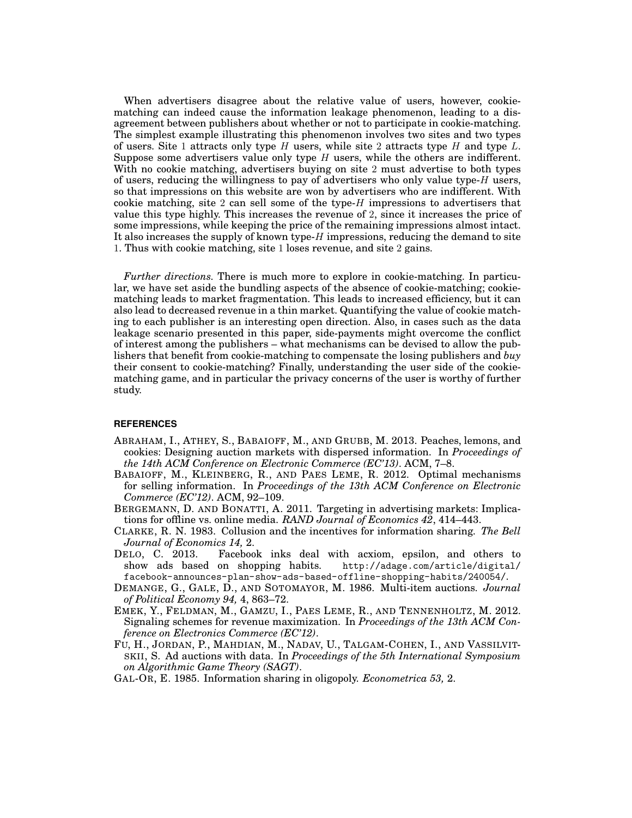When advertisers disagree about the relative value of users, however, cookiematching can indeed cause the information leakage phenomenon, leading to a disagreement between publishers about whether or not to participate in cookie-matching. The simplest example illustrating this phenomenon involves two sites and two types of users. Site 1 attracts only type  $H$  users, while site 2 attracts type  $H$  and type  $L$ . Suppose some advertisers value only type  $H$  users, while the others are indifferent. With no cookie matching, advertisers buying on site 2 must advertise to both types of users, reducing the willingness to pay of advertisers who only value type- $H$  users, so that impressions on this website are won by advertisers who are indifferent. With cookie matching, site 2 can sell some of the type- $H$  impressions to advertisers that value this type highly. This increases the revenue of 2, since it increases the price of some impressions, while keeping the price of the remaining impressions almost intact. It also increases the supply of known type- $H$  impressions, reducing the demand to site 1. Thus with cookie matching, site 1 loses revenue, and site 2 gains.

*Further directions.* There is much more to explore in cookie-matching. In particular, we have set aside the bundling aspects of the absence of cookie-matching; cookiematching leads to market fragmentation. This leads to increased efficiency, but it can also lead to decreased revenue in a thin market. Quantifying the value of cookie matching to each publisher is an interesting open direction. Also, in cases such as the data leakage scenario presented in this paper, side-payments might overcome the conflict of interest among the publishers – what mechanisms can be devised to allow the publishers that benefit from cookie-matching to compensate the losing publishers and *buy* their consent to cookie-matching? Finally, understanding the user side of the cookiematching game, and in particular the privacy concerns of the user is worthy of further study.

## **REFERENCES**

- ABRAHAM, I., ATHEY, S., BABAIOFF, M., AND GRUBB, M. 2013. Peaches, lemons, and cookies: Designing auction markets with dispersed information. In *Proceedings of the 14th ACM Conference on Electronic Commerce (EC'13)*. ACM, 7–8.
- BABAIOFF, M., KLEINBERG, R., AND PAES LEME, R. 2012. Optimal mechanisms for selling information. In *Proceedings of the 13th ACM Conference on Electronic Commerce (EC'12)*. ACM, 92–109.
- BERGEMANN, D. AND BONATTI, A. 2011. Targeting in advertising markets: Implications for offline vs. online media. *RAND Journal of Economics 42*, 414–443.
- CLARKE, R. N. 1983. Collusion and the incentives for information sharing. *The Bell Journal of Economics 14,* 2.
- DELO, C. 2013. Facebook inks deal with acxiom, epsilon, and others to show ads based on shopping habits. http://adage.com/article/digital/ facebook-announces-plan-show-ads-based-offline-shopping-habits/240054/.
- DEMANGE, G., GALE, D., AND SOTOMAYOR, M. 1986. Multi-item auctions. *Journal of Political Economy 94,* 4, 863–72.
- EMEK, Y., FELDMAN, M., GAMZU, I., PAES LEME, R., AND TENNENHOLTZ, M. 2012. Signaling schemes for revenue maximization. In *Proceedings of the 13th ACM Conference on Electronics Commerce (EC'12)*.
- FU, H., JORDAN, P., MAHDIAN, M., NADAV, U., TALGAM-COHEN, I., AND VASSILVIT-SKII, S. Ad auctions with data. In *Proceedings of the 5th International Symposium on Algorithmic Game Theory (SAGT)*.
- GAL-OR, E. 1985. Information sharing in oligopoly. *Econometrica 53,* 2.